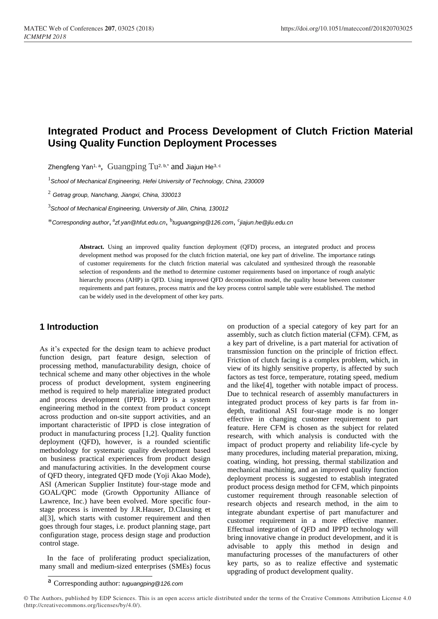# **Integrated Product and Process Development of Clutch Friction Material Using Quality Function Deployment Processes**

Zhengfeng Yan<sup>1, a</sup>, Guangping Tu<sup>2, b,\*</sup> and Jiajun He<sup>3, c</sup>

<sup>1</sup>*School of Mechanical Engineering, Hefei University of Technology, China, 230009*

<sup>2</sup> *Getrag group, Nanchang, Jiangxi, China, 330013*

<sup>3</sup>*School of Mechanical Engineering, University of Jilin, China, 130012*

\**Corresponding author*, a *zf.yan@hfut.edu.cn*, b *tuguangping@126.com*, c *jiajun.he@jlu.edu.cn*

**Abstract.** Using an improved quality function deployment (QFD) process, an integrated product and process development method was proposed for the clutch friction material, one key part of driveline. The importance ratings of customer requirements for the clutch friction material was calculated and synthesized through the reasonable selection of respondents and the method to determine customer requirements based on importance of rough analytic hierarchy process (AHP) in QFD. Using improved QFD decomposition model, the quality house between customer requirements and part features, process matrix and the key process control sample table were established. The method can be widely used in the development of other key parts.

#### **1 Introduction**

As it's expected for the design team to achieve product function design, part feature design, selection of processing method, manufacturability design, choice of technical scheme and many other objectives in the whole process of product development, system engineering method is required to help materialize integrated product and process development (IPPD). IPPD is a system engineering method in the context from product concept across production and on-site support activities, and an important characteristic of IPPD is close integration of product in manufacturing process [1,2]. Quality function deployment (QFD), however, is a rounded scientific methodology for systematic quality development based on business practical experiences from product design and manufacturing activities. In the development course of QFD theory, integrated QFD mode (Yoji Akao Mode), ASI (American Supplier Institute) four-stage mode and GOAL/QPC mode (Growth Opportunity Alliance of Lawrence, Inc.) have been evolved. More specific fourstage process is invented by J.R.Hauser, D.Clausing et al[3], which starts with customer requirement and then goes through four stages, i.e. product planning stage, part configuration stage, process design stage and production control stage.

 In the face of proliferating product specialization, many small and medium-sized enterprises (SMEs) focus

on production of a special category of key part for an assembly, such as clutch fiction material (CFM). CFM, as a key part of driveline, is a part material for activation of transmission function on the principle of friction effect. Friction of clutch facing is a complex problem, which, in view of its highly sensitive property, is affected by such factors as test force, temperature, rotating speed, medium and the like[4], together with notable impact of process. Due to technical research of assembly manufacturers in integrated product process of key parts is far from indepth, traditional ASI four-stage mode is no longer effective in changing customer requirement to part feature. Here CFM is chosen as the subject for related research, with which analysis is conducted with the impact of product property and reliability life-cycle by many procedures, including material preparation, mixing, coating, winding, hot pressing, thermal stabilization and mechanical machining, and an improved quality function deployment process is suggested to establish integrated product process design method for CFM, which pinpoints customer requirement through reasonable selection of research objects and research method, in the aim to integrate abundant expertise of part manufacturer and customer requirement in a more effective manner. Effectual integration of QFD and IPPD technology will bring innovative change in product development, and it is advisable to apply this method in design and manufacturing processes of the manufacturers of other key parts, so as to realize effective and systematic upgrading of product development quality.

<sup>a</sup> Corresponding author: *tuguangping@126.com*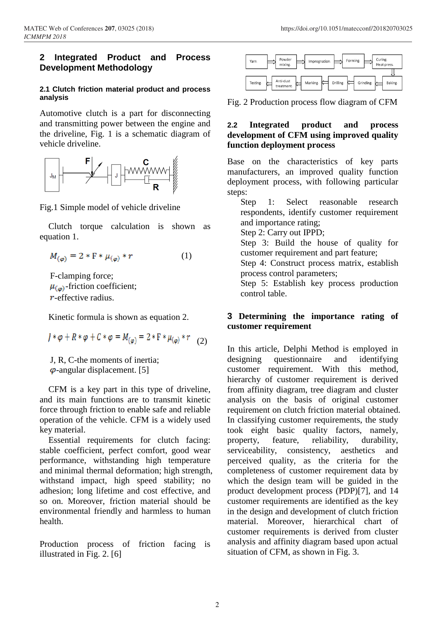### **2 Integrated Product and Process Development Methodology**

#### **2.1 Clutch friction material product and process analysis**

Automotive clutch is a part for disconnecting and transmitting power between the engine and the driveline, Fig. 1 is a schematic diagram of vehicle driveline.



Fig.1 Simple model of vehicle driveline

Clutch torque calculation is shown as equation 1.

$$
M_{(\varphi)} = 2 * F * \mu_{(\varphi)} * r \tag{1}
$$

F-clamping force;  $\mu_{\omega}$ -friction coefficient; -effective radius.

Kinetic formula is shown as equation 2.

$$
J * \varphi + R * \varphi + C * \varphi = M_{(\varphi)} = 2 * F * \mu_{(\varphi)} * r
$$
 (2)

J, R, C-the moments of inertia;  $\varphi$ -angular displacement. [5]

CFM is a key part in this type of driveline, and its main functions are to transmit kinetic force through friction to enable safe and reliable operation of the vehicle. CFM is a widely used key material.

Essential requirements for clutch facing: stable coefficient, perfect comfort, good wear performance, withstanding high temperature and minimal thermal deformation; high strength, withstand impact, high speed stability; no adhesion; long lifetime and cost effective, and so on. Moreover, friction material should be environmental friendly and harmless to human health.

Production process of friction facing is illustrated in Fig. 2. [6]



Fig. 2 Production process flow diagram of CFM

## **2.2 Integrated product and process development of CFM using improved quality function deployment process**

Base on the characteristics of key parts manufacturers, an improved quality function deployment process, with following particular steps:

Step 1: Select reasonable research respondents, identify customer requirement and importance rating;

Step 2: Carry out IPPD;

Step 3: Build the house of quality for customer requirement and part feature;

Step 4: Construct process matrix, establish process control parameters;

Step 5: Establish key process production control table.

### **3 Determining the importance rating of customer requirement**

In this article, Delphi Method is employed in designing questionnaire and identifying customer requirement. With this method, hierarchy of customer requirement is derived from affinity diagram, tree diagram and cluster analysis on the basis of original customer requirement on clutch friction material obtained. In classifying customer requirements, the study took eight basic quality factors, namely, property, feature, reliability, durability, serviceability, consistency, aesthetics and perceived quality, as the criteria for the completeness of customer requirement data by which the design team will be guided in the product development process (PDP)[7], and 14 customer requirements are identified as the key in the design and development of clutch friction material. Moreover, hierarchical chart of customer requirements is derived from cluster analysis and affinity diagram based upon actual situation of CFM, as shown in Fig. 3.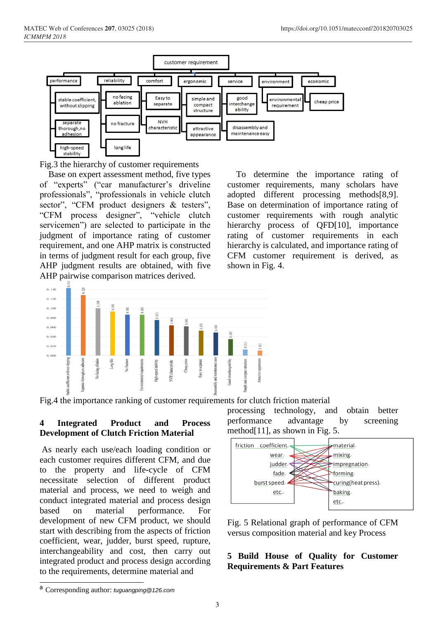

Fig.3 the hierarchy of customer requirements

Base on expert assessment method, five types of "experts" ("car manufacturer's driveline professionals", "professionals in vehicle clutch sector", "CFM product designers & testers", "CFM process designer", "vehicle clutch servicemen") are selected to participate in the judgment of importance rating of customer requirement, and one AHP matrix is constructed in terms of judgment result for each group, five AHP judgment results are obtained, with five AHP pairwise comparison matrices derived.

To determine the importance rating of customer requirements, many scholars have adopted different processing methods[8,9]. Base on determination of importance rating of customer requirements with rough analytic hierarchy process of QFD[10], importance rating of customer requirements in each hierarchy is calculated, and importance rating of CFM customer requirement is derived, as shown in Fig. 4.



Fig.4 the importance ranking of customer requirements for clutch friction material

#### **4 Integrated Product and Process Development of Clutch Friction Material**

As nearly each use/each loading condition or each customer requires different CFM, and due to the property and life-cycle of CFM necessitate selection of different product material and process, we need to weigh and conduct integrated material and process design based on material performance. For development of new CFM product, we should start with describing from the aspects of friction coefficient, wear, judder, burst speed, rupture, interchangeability and cost, then carry out integrated product and process design according to the requirements, determine material and

processing technology, and obtain better performance advantage by screening method[11], as shown in Fig. 5.



Fig. 5 Relational graph of performance of CFM versus composition material and key Process

#### **5 Build House of Quality for Customer Requirements & Part Features**

<sup>a</sup> Corresponding author: *tuguangping@126.com*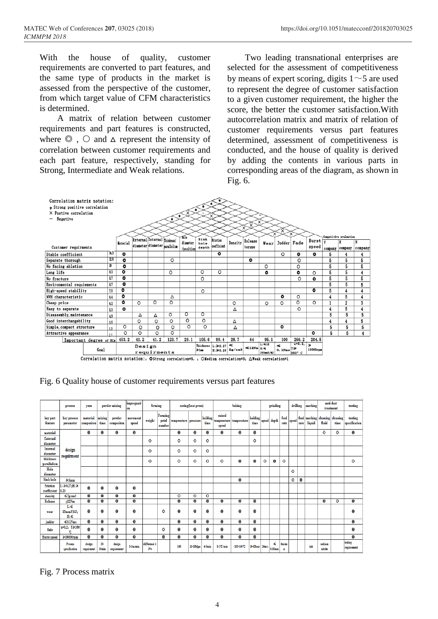With the house of quality, customer requirements are converted to part features, and the same type of products in the market is assessed from the perspective of the customer, from which target value of CFM characteristics is determined.

A matrix of relation between customer requirements and part features is constructed, where  $\odot$ ,  $\odot$  and  $\Delta$  represent the intensity of correlation between customer requirements and each part feature, respectively, standing for Strong, Intermediate and Weak relations.

Two leading transnational enterprises are selected for the assessment of competitiveness by means of expert scoring, digits  $1~$   $\sim$  5 are used to represent the degree of customer satisfaction to a given customer requirement, the higher the score, the better the customer satisfaction.With autocorrelation matrix and matrix of relation of customer requirements versus part features determined, assessment of competitiveness is conducted, and the house of quality is derived by adding the contents in various parts in corresponding areas of the diagram, as shown in Fig. 6.



Fig. 6 Quality house of customer requirements versus part features

|                                 | process                                  | yarn                   |                         | powder mixing           | impregnati<br>on        | forming              |                            |                         | curing(heat press) |                     |                                     | baking                  |                  |             | grinding                 |              | drilling |           | marking                |                   | anti-dust<br>treatment | testing                  |
|---------------------------------|------------------------------------------|------------------------|-------------------------|-------------------------|-------------------------|----------------------|----------------------------|-------------------------|--------------------|---------------------|-------------------------------------|-------------------------|------------------|-------------|--------------------------|--------------|----------|-----------|------------------------|-------------------|------------------------|--------------------------|
| key part<br>feature             | key process<br>parameter                 | material<br>compositon | mixing<br>time          | powder<br>compositon    | movement<br>speed       | weight               | Forming<br>petal<br>number | temperature pressure    |                    | holding<br>time     | raised<br>speed                     | temperature temperature | holding<br>time  | speed depth |                          | feed<br>rate | speed    | rate      | feed marking<br>liquid | cleaning<br>fluid | cleaning<br>time       | testing<br>specification |
| material                        |                                          | $\bullet$              | $\ddot{\mathbf{0}}$     | 0                       | $\bf 0$                 |                      |                            | 0                       | 0                  | $\bf{0}$            | 0                                   | $\ddot{\mathbf{0}}$     | $\boldsymbol{0}$ |             |                          |              |          |           |                        | $\circ$           | $\circ$                | $\bf{0}$                 |
| External<br>diameter            | design<br>requirment                     |                        |                         |                         |                         | $\circ$              |                            | $\circ$                 | O                  | $\circ$             |                                     |                         | $\circ$          |             |                          |              |          |           |                        |                   |                        |                          |
| Internal<br>diameter            |                                          |                        |                         |                         |                         | $\circ$              |                            | $\circ$                 | $\circ$            | $\circ$             |                                     |                         |                  |             |                          |              |          |           |                        |                   |                        |                          |
| thickness<br><i>parallelism</i> |                                          |                        |                         |                         |                         | $\circ$              |                            | $\circ$                 | $\circ$            | $\circ$             | $\circ$                             | $\bf 0$                 | $\bf 0$          | $\circ$     | $\bf{0}$                 | $\circ$      |          |           |                        |                   |                        | $\circ$                  |
| Hole<br>diameter                |                                          |                        |                         |                         |                         |                      |                            |                         |                    |                     |                                     |                         |                  |             |                          |              | $\circ$  |           |                        |                   |                        |                          |
| Sink hole                       | $\geq$ lmm                               |                        |                         |                         |                         |                      |                            |                         |                    |                     |                                     | $\bf 0$                 |                  |             |                          |              | 0        | $\bullet$ |                        |                   |                        |                          |
| Friction<br>coefficient         | $L: \geq 0.27$ : $H: \geq 0.27$<br> 0.20 | o                      | $\bf{0}$                | 0                       | 0                       |                      |                            |                         |                    |                     |                                     |                         |                  |             |                          |              |          |           |                        |                   |                        |                          |
| density                         | $\leq 2$ g/cm3                           | 0                      | $\bullet$               | 0                       | $\overline{\mathbf{0}}$ |                      |                            | $\circ$                 | $\circ$            | $\circ$             |                                     |                         |                  |             |                          |              |          |           |                        |                   |                        |                          |
| Release                         | $\leq$ 12Nm                              | $\overline{0}$         | $\overline{\mathbf{0}}$ | $\overline{\mathbf{0}}$ | $\overline{\mathbf{0}}$ |                      |                            | $\overline{\mathbf{0}}$ | 0                  | $\bullet$           | 0                                   | $\overline{\mathbf{0}}$ | $\bf{0}$         |             |                          |              |          |           |                        | 0                 | $\circ$                | $\overline{\mathbf{0}}$  |
| wear                            | Li≤<br>15mm3/MJ:<br>H <sub>i</sub>       | $\bf{0}$               | $\bullet$               | 0                       | $\bf{0}$                |                      | $\circ$                    | $\bf{0}$                | 0                  | $\bullet$           | $\bf 0$                             | $\ddot{\mathbf{0}}$     | 0                |             |                          |              |          |           |                        |                   |                        | $\bf{0}$                 |
| judder                          | ≤0.1Nms                                  | $\Omega$               | $\boldsymbol{0}$        | $\bf{0}$                | $\bf{0}$                |                      |                            | $\boldsymbol{0}$        | $\bf{0}$           | $\boldsymbol{0}$    | $\boldsymbol{0}$                    | $\boldsymbol{0}$        | $\boldsymbol{0}$ |             |                          |              |          |           |                        |                   |                        | $\bf{0}$                 |
| fade                            | $u=0.2$ , $T \ge 350$<br>r.              | $\bf 0$                | $\bf 0$                 | 0                       | $\bf 0$                 |                      | $\circ$                    | 0                       | 0                  | $\bf{0}$            | 0                                   | $\bf 0$                 | 0                |             |                          |              |          |           |                        |                   |                        | 0                        |
| <b>Burst speed</b>              | $\geq 10000$ rpm                         | $\bf{0}$               | $\bullet$               | $\bf{0}$                | $\bf{0}$                |                      | $\boldsymbol{0}$           | $\overline{0}$          | $\bf{0}$           | $\ddot{\mathbf{0}}$ | $\bf{0}$                            | $\overline{\mathbf{0}}$ | $\bf{0}$         |             |                          |              |          |           |                        |                   |                        | $\overline{0}$           |
|                                 | <b>Process</b><br>specification          | design<br>requirment   | $20 -$<br>30min         | design<br>requirement   | $1-3m/min$              | difference 1-<br>396 |                            | 160                     | 15-18Mpa           | $4-5$ min           | $1-2$ <sup><math>C/min</math></sup> | 150-160 C               | $\geq 6$ Hour    | 26m/s       | ٤ś<br>0.05 <sub>mm</sub> | 6m/mi<br>n   |          |           | ink                    | sodium<br>nitrite |                        | testing<br>requirement   |

Fig. 7 Process matrix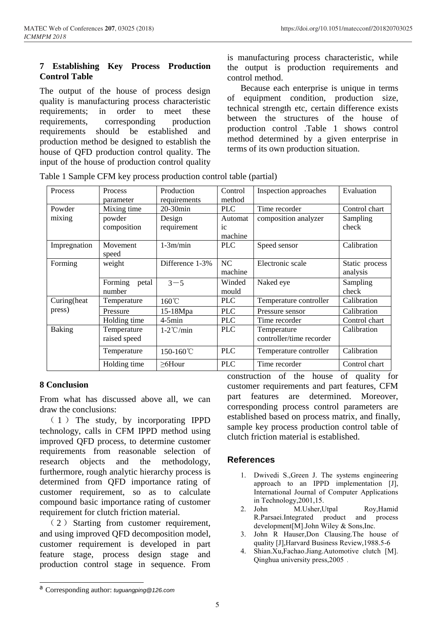## **7 Establishing Key Process Production Control Table**

The output of the house of process design quality is manufacturing process characteristic requirements; in order to meet these requirements, corresponding production requirements should be established and production method be designed to establish the house of QFD production control quality. The input of the house of production control quality

is manufacturing process characteristic, while the output is production requirements and control method.

 Because each enterprise is unique in terms of equipment condition, production size, technical strength etc, certain difference exists between the structures of the house of production control .Table 1 shows control method determined by a given enterprise in terms of its own production situation.

| Process       | <b>Process</b><br>parameter | Production<br>requirements | Control<br>method                 | Inspection approaches                   | Evaluation                 |  |  |
|---------------|-----------------------------|----------------------------|-----------------------------------|-----------------------------------------|----------------------------|--|--|
| Powder        | Mixing time                 | $20-30$ min                | <b>PLC</b>                        | Time recorder                           | Control chart              |  |  |
| mixing        | powder<br>composition       | Design<br>requirement      | Automat<br>$i_{\rm c}$<br>machine | composition analyzer                    | Sampling<br>check          |  |  |
| Impregnation  | Movement<br>speed           | $1-3m/min$                 | <b>PLC</b>                        | Speed sensor                            | Calibration                |  |  |
| Forming       | weight                      | Difference 1-3%            | NC<br>machine                     | Electronic scale                        | Static process<br>analysis |  |  |
|               | Forming<br>petal<br>number  | $3 - 5$                    | Winded<br>mould                   | Naked eye                               | Sampling<br>check          |  |  |
| Curing (heat  | Temperature                 | $160^{\circ}$ C            | <b>PLC</b>                        | Temperature controller                  | Calibration                |  |  |
| press)        | Pressure                    | 15-18Mpa                   | <b>PLC</b>                        | Pressure sensor                         | Calibration                |  |  |
|               | Holding time                | $4-5min$                   | <b>PLC</b>                        | Time recorder                           | Control chart              |  |  |
| <b>Baking</b> | Temperature<br>raised speed | $1-2^{\circ}$ C/min        | <b>PLC</b>                        | Temperature<br>controller/time recorder | Calibration                |  |  |
|               | Temperature                 | 150-160℃                   | <b>PLC</b>                        | Temperature controller                  | Calibration                |  |  |
|               | Holding time                | $\geq 6$ Hour              | <b>PLC</b>                        | Time recorder                           | Control chart              |  |  |

Table 1 Sample CFM key process production control table (partial)

## **8 Conclusion**

From what has discussed above all, we can draw the conclusions:

 ( 1 ) The study, by incorporating IPPD technology, calls in CFM IPPD method using improved QFD process, to determine customer requirements from reasonable selection of research objects and the methodology, furthermore, rough analytic hierarchy process is determined from QFD importance rating of customer requirement, so as to calculate compound basic importance rating of customer requirement for clutch friction material.

 ( 2 ) Starting from customer requirement, and using improved QFD decomposition model, customer requirement is developed in part feature stage, process design stage and production control stage in sequence. From construction of the house of quality for customer requirements and part features, CFM part features are determined. Moreover, corresponding process control parameters are established based on process matrix, and finally, sample key process production control table of clutch friction material is established.

## **References**

- 1. Dwivedi S.,Green J. The systems engineering approach to an IPPD implementation [J], International Journal of Computer Applications in Technology,2001,15.
- 2. John M.Usher,Utpal Roy,Hamid R.Parsaei.Integrated product and process development[M].John Wiley & Sons,Inc.
- 3. John R Hauser,Don Clausing.The house of quality [J],Harvard Business Review,1988.5-6
- 4. Shian.Xu,Fachao.Jiang.Automotive clutch [M]. Qinghua university press,2005.

<sup>a</sup> Corresponding author: *tuguangping@126.com*